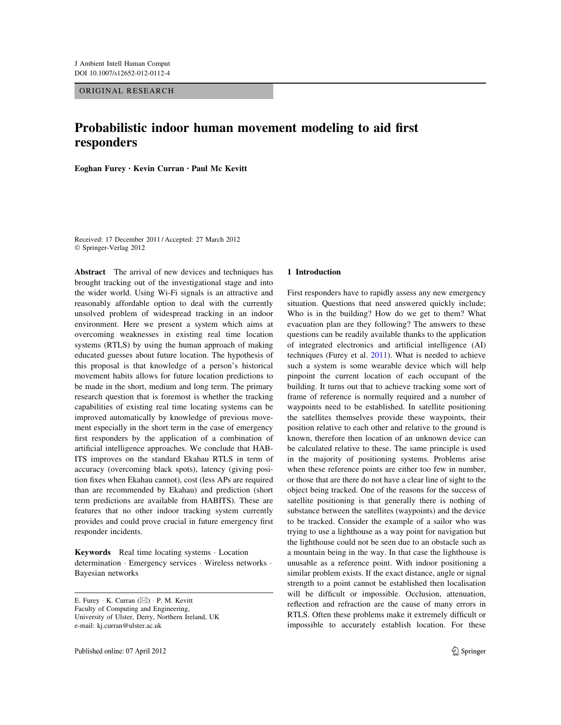### ORIGINAL RESEARCH

# Probabilistic indoor human movement modeling to aid first responders

Eoghan Furey • Kevin Curran • Paul Mc Kevitt

Received: 17 December 2011 / Accepted: 27 March 2012 Ó Springer-Verlag 2012

Abstract The arrival of new devices and techniques has brought tracking out of the investigational stage and into the wider world. Using Wi-Fi signals is an attractive and reasonably affordable option to deal with the currently unsolved problem of widespread tracking in an indoor environment. Here we present a system which aims at overcoming weaknesses in existing real time location systems (RTLS) by using the human approach of making educated guesses about future location. The hypothesis of this proposal is that knowledge of a person's historical movement habits allows for future location predictions to be made in the short, medium and long term. The primary research question that is foremost is whether the tracking capabilities of existing real time locating systems can be improved automatically by knowledge of previous movement especially in the short term in the case of emergency first responders by the application of a combination of artificial intelligence approaches. We conclude that HAB-ITS improves on the standard Ekahau RTLS in term of accuracy (overcoming black spots), latency (giving position fixes when Ekahau cannot), cost (less APs are required than are recommended by Ekahau) and prediction (short term predictions are available from HABITS). These are features that no other indoor tracking system currently provides and could prove crucial in future emergency first responder incidents.

Keywords Real time locating systems · Location determination · Emergency services · Wireless networks · Bayesian networks

E. Furey  $\cdot$  K. Curran  $(\boxtimes) \cdot$  P. M. Kevitt Faculty of Computing and Engineering, University of Ulster, Derry, Northern Ireland, UK e-mail: kj.curran@ulster.ac.uk

# 1 Introduction

First responders have to rapidly assess any new emergency situation. Questions that need answered quickly include; Who is in the building? How do we get to them? What evacuation plan are they following? The answers to these questions can be readily available thanks to the application of integrated electronics and artificial intelligence (AI) techniques (Furey et al. 2011). What is needed to achieve such a system is some wearable device which will help pinpoint the current location of each occupant of the building. It turns out that to achieve tracking some sort of frame of reference is normally required and a number of waypoints need to be established. In satellite positioning the satellites themselves provide these waypoints, their position relative to each other and relative to the ground is known, therefore then location of an unknown device can be calculated relative to these. The same principle is used in the majority of positioning systems. Problems arise when these reference points are either too few in number, or those that are there do not have a clear line of sight to the object being tracked. One of the reasons for the success of satellite positioning is that generally there is nothing of substance between the satellites (waypoints) and the device to be tracked. Consider the example of a sailor who was trying to use a lighthouse as a way point for navigation but the lighthouse could not be seen due to an obstacle such as a mountain being in the way. In that case the lighthouse is unusable as a reference point. With indoor positioning a similar problem exists. If the exact distance, angle or signal strength to a point cannot be established then localisation will be difficult or impossible. Occlusion, attenuation, reflection and refraction are the cause of many errors in RTLS. Often these problems make it extremely difficult or impossible to accurately establish location. For these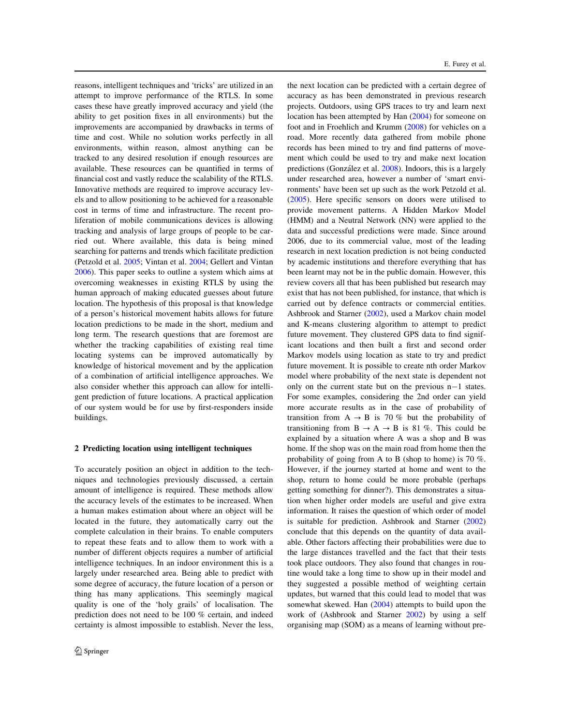reasons, intelligent techniques and 'tricks' are utilized in an attempt to improve performance of the RTLS. In some cases these have greatly improved accuracy and yield (the ability to get position fixes in all environments) but the improvements are accompanied by drawbacks in terms of time and cost. While no solution works perfectly in all environments, within reason, almost anything can be tracked to any desired resolution if enough resources are available. These resources can be quantified in terms of financial cost and vastly reduce the scalability of the RTLS. Innovative methods are required to improve accuracy levels and to allow positioning to be achieved for a reasonable cost in terms of time and infrastructure. The recent proliferation of mobile communications devices is allowing tracking and analysis of large groups of people to be carried out. Where available, this data is being mined searching for patterns and trends which facilitate prediction (Petzold et al. 2005; Vintan et al. 2004; Gellert and Vintan 2006). This paper seeks to outline a system which aims at overcoming weaknesses in existing RTLS by using the human approach of making educated guesses about future location. The hypothesis of this proposal is that knowledge of a person's historical movement habits allows for future location predictions to be made in the short, medium and long term. The research questions that are foremost are whether the tracking capabilities of existing real time locating systems can be improved automatically by knowledge of historical movement and by the application of a combination of artificial intelligence approaches. We also consider whether this approach can allow for intelligent prediction of future locations. A practical application of our system would be for use by first-responders inside buildings.

# 2 Predicting location using intelligent techniques

To accurately position an object in addition to the techniques and technologies previously discussed, a certain amount of intelligence is required. These methods allow the accuracy levels of the estimates to be increased. When a human makes estimation about where an object will be located in the future, they automatically carry out the complete calculation in their brains. To enable computers to repeat these feats and to allow them to work with a number of different objects requires a number of artificial intelligence techniques. In an indoor environment this is a largely under researched area. Being able to predict with some degree of accuracy, the future location of a person or thing has many applications. This seemingly magical quality is one of the 'holy grails' of localisation. The prediction does not need to be 100 % certain, and indeed certainty is almost impossible to establish. Never the less,

the next location can be predicted with a certain degree of accuracy as has been demonstrated in previous research projects. Outdoors, using GPS traces to try and learn next location has been attempted by Han (2004) for someone on foot and in Froehlich and Krumm (2008) for vehicles on a road. More recently data gathered from mobile phone records has been mined to try and find patterns of movement which could be used to try and make next location predictions (González et al. 2008). Indoors, this is a largely under researched area, however a number of 'smart environments' have been set up such as the work Petzold et al. (2005). Here specific sensors on doors were utilised to provide movement patterns. A Hidden Markov Model (HMM) and a Neutral Network (NN) were applied to the data and successful predictions were made. Since around 2006, due to its commercial value, most of the leading research in next location prediction is not being conducted by academic institutions and therefore everything that has been learnt may not be in the public domain. However, this review covers all that has been published but research may exist that has not been published, for instance, that which is carried out by defence contracts or commercial entities. Ashbrook and Starner (2002), used a Markov chain model and K-means clustering algorithm to attempt to predict future movement. They clustered GPS data to find significant locations and then built a first and second order Markov models using location as state to try and predict future movement. It is possible to create nth order Markov model where probability of the next state is dependent not only on the current state but on the previous  $n-1$  states. For some examples, considering the 2nd order can yield more accurate results as in the case of probability of transition from  $A \rightarrow B$  is 70 % but the probability of transitioning from  $B \rightarrow A \rightarrow B$  is 81 %. This could be explained by a situation where A was a shop and B was home. If the shop was on the main road from home then the probability of going from A to B (shop to home) is 70 %. However, if the journey started at home and went to the shop, return to home could be more probable (perhaps getting something for dinner?). This demonstrates a situation when higher order models are useful and give extra information. It raises the question of which order of model is suitable for prediction. Ashbrook and Starner (2002) conclude that this depends on the quantity of data available. Other factors affecting their probabilities were due to the large distances travelled and the fact that their tests took place outdoors. They also found that changes in routine would take a long time to show up in their model and they suggested a possible method of weighting certain updates, but warned that this could lead to model that was somewhat skewed. Han (2004) attempts to build upon the work of (Ashbrook and Starner 2002) by using a self organising map (SOM) as a means of learning without pre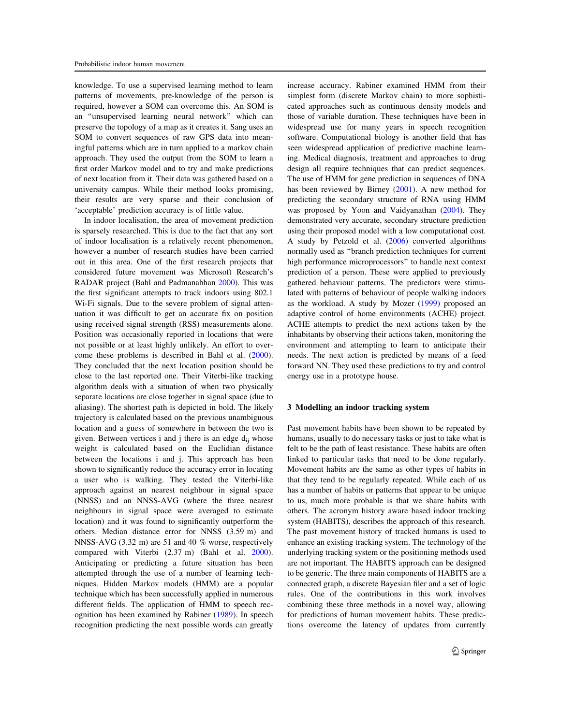knowledge. To use a supervised learning method to learn patterns of movements, pre-knowledge of the person is required, however a SOM can overcome this. An SOM is an ''unsupervised learning neural network'' which can preserve the topology of a map as it creates it. Sang uses an SOM to convert sequences of raw GPS data into meaningful patterns which are in turn applied to a markov chain approach. They used the output from the SOM to learn a first order Markov model and to try and make predictions of next location from it. Their data was gathered based on a university campus. While their method looks promising, their results are very sparse and their conclusion of 'acceptable' prediction accuracy is of little value.

In indoor localisation, the area of movement prediction is sparsely researched. This is due to the fact that any sort of indoor localisation is a relatively recent phenomenon, however a number of research studies have been carried out in this area. One of the first research projects that considered future movement was Microsoft Research's RADAR project (Bahl and Padmanabhan 2000). This was the first significant attempts to track indoors using 802.1 Wi-Fi signals. Due to the severe problem of signal attenuation it was difficult to get an accurate fix on position using received signal strength (RSS) measurements alone. Position was occasionally reported in locations that were not possible or at least highly unlikely. An effort to overcome these problems is described in Bahl et al. (2000). They concluded that the next location position should be close to the last reported one. Their Viterbi-like tracking algorithm deals with a situation of when two physically separate locations are close together in signal space (due to aliasing). The shortest path is depicted in bold. The likely trajectory is calculated based on the previous unambiguous location and a guess of somewhere in between the two is given. Between vertices i and j there is an edge  $d_{ij}$  whose weight is calculated based on the Euclidian distance between the locations i and j. This approach has been shown to significantly reduce the accuracy error in locating a user who is walking. They tested the Viterbi-like approach against an nearest neighbour in signal space (NNSS) and an NNSS-AVG (where the three nearest neighbours in signal space were averaged to estimate location) and it was found to significantly outperform the others. Median distance error for NNSS (3.59 m) and NNSS-AVG (3.32 m) are 51 and 40 % worse, respectively compared with Viterbi (2.37 m) (Bahl et al. 2000). Anticipating or predicting a future situation has been attempted through the use of a number of learning techniques. Hidden Markov models (HMM) are a popular technique which has been successfully applied in numerous different fields. The application of HMM to speech recognition has been examined by Rabiner (1989). In speech recognition predicting the next possible words can greatly

simplest form (discrete Markov chain) to more sophisticated approaches such as continuous density models and those of variable duration. These techniques have been in widespread use for many years in speech recognition software. Computational biology is another field that has seen widespread application of predictive machine learning. Medical diagnosis, treatment and approaches to drug design all require techniques that can predict sequences. The use of HMM for gene prediction in sequences of DNA has been reviewed by Birney (2001). A new method for predicting the secondary structure of RNA using HMM was proposed by Yoon and Vaidyanathan (2004). They demonstrated very accurate, secondary structure prediction using their proposed model with a low computational cost. A study by Petzold et al. (2006) converted algorithms normally used as ''branch prediction techniques for current high performance microprocessors'' to handle next context prediction of a person. These were applied to previously gathered behaviour patterns. The predictors were stimulated with patterns of behaviour of people walking indoors as the workload. A study by Mozer (1999) proposed an adaptive control of home environments (ACHE) project. ACHE attempts to predict the next actions taken by the inhabitants by observing their actions taken, monitoring the environment and attempting to learn to anticipate their needs. The next action is predicted by means of a feed forward NN. They used these predictions to try and control energy use in a prototype house.

increase accuracy. Rabiner examined HMM from their

#### 3 Modelling an indoor tracking system

Past movement habits have been shown to be repeated by humans, usually to do necessary tasks or just to take what is felt to be the path of least resistance. These habits are often linked to particular tasks that need to be done regularly. Movement habits are the same as other types of habits in that they tend to be regularly repeated. While each of us has a number of habits or patterns that appear to be unique to us, much more probable is that we share habits with others. The acronym history aware based indoor tracking system (HABITS), describes the approach of this research. The past movement history of tracked humans is used to enhance an existing tracking system. The technology of the underlying tracking system or the positioning methods used are not important. The HABITS approach can be designed to be generic. The three main components of HABITS are a connected graph, a discrete Bayesian filer and a set of logic rules. One of the contributions in this work involves combining these three methods in a novel way, allowing for predictions of human movement habits. These predictions overcome the latency of updates from currently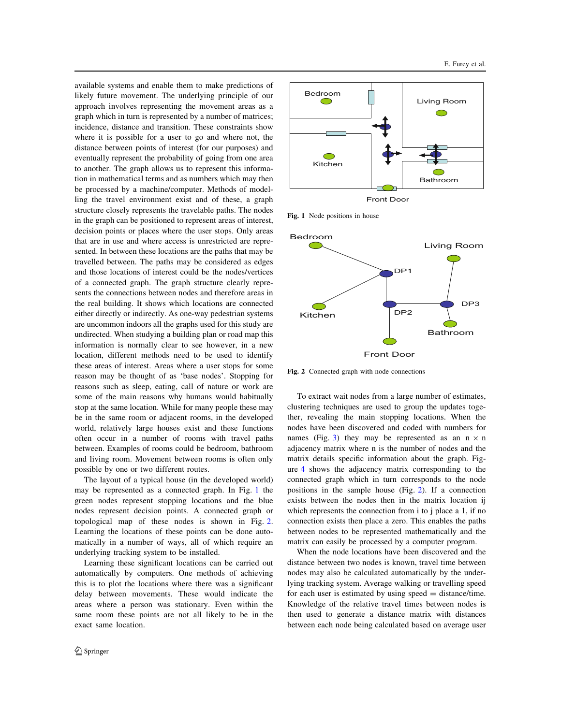available systems and enable them to make predictions of likely future movement. The underlying principle of our approach involves representing the movement areas as a graph which in turn is represented by a number of matrices; incidence, distance and transition. These constraints show where it is possible for a user to go and where not, the distance between points of interest (for our purposes) and eventually represent the probability of going from one area to another. The graph allows us to represent this information in mathematical terms and as numbers which may then be processed by a machine/computer. Methods of modelling the travel environment exist and of these, a graph structure closely represents the travelable paths. The nodes in the graph can be positioned to represent areas of interest, decision points or places where the user stops. Only areas that are in use and where access is unrestricted are represented. In between these locations are the paths that may be travelled between. The paths may be considered as edges and those locations of interest could be the nodes/vertices of a connected graph. The graph structure clearly represents the connections between nodes and therefore areas in the real building. It shows which locations are connected either directly or indirectly. As one-way pedestrian systems are uncommon indoors all the graphs used for this study are undirected. When studying a building plan or road map this information is normally clear to see however, in a new location, different methods need to be used to identify these areas of interest. Areas where a user stops for some reason may be thought of as 'base nodes'. Stopping for reasons such as sleep, eating, call of nature or work are some of the main reasons why humans would habitually stop at the same location. While for many people these may be in the same room or adjacent rooms, in the developed world, relatively large houses exist and these functions often occur in a number of rooms with travel paths between. Examples of rooms could be bedroom, bathroom and living room. Movement between rooms is often only possible by one or two different routes.

The layout of a typical house (in the developed world) may be represented as a connected graph. In Fig. 1 the green nodes represent stopping locations and the blue nodes represent decision points. A connected graph or topological map of these nodes is shown in Fig. 2. Learning the locations of these points can be done automatically in a number of ways, all of which require an underlying tracking system to be installed.

Learning these significant locations can be carried out automatically by computers. One methods of achieving this is to plot the locations where there was a significant delay between movements. These would indicate the areas where a person was stationary. Even within the same room these points are not all likely to be in the exact same location.



Fig. 1 Node positions in house



Fig. 2 Connected graph with node connections

To extract wait nodes from a large number of estimates, clustering techniques are used to group the updates together, revealing the main stopping locations. When the nodes have been discovered and coded with numbers for names (Fig. 3) they may be represented as an  $n \times n$ adjacency matrix where n is the number of nodes and the matrix details specific information about the graph. Figure 4 shows the adjacency matrix corresponding to the connected graph which in turn corresponds to the node positions in the sample house (Fig. 2). If a connection exists between the nodes then in the matrix location ij which represents the connection from i to j place a 1, if no connection exists then place a zero. This enables the paths between nodes to be represented mathematically and the matrix can easily be processed by a computer program.

When the node locations have been discovered and the distance between two nodes is known, travel time between nodes may also be calculated automatically by the underlying tracking system. Average walking or travelling speed for each user is estimated by using  $speed = distance/time$ . Knowledge of the relative travel times between nodes is then used to generate a distance matrix with distances between each node being calculated based on average user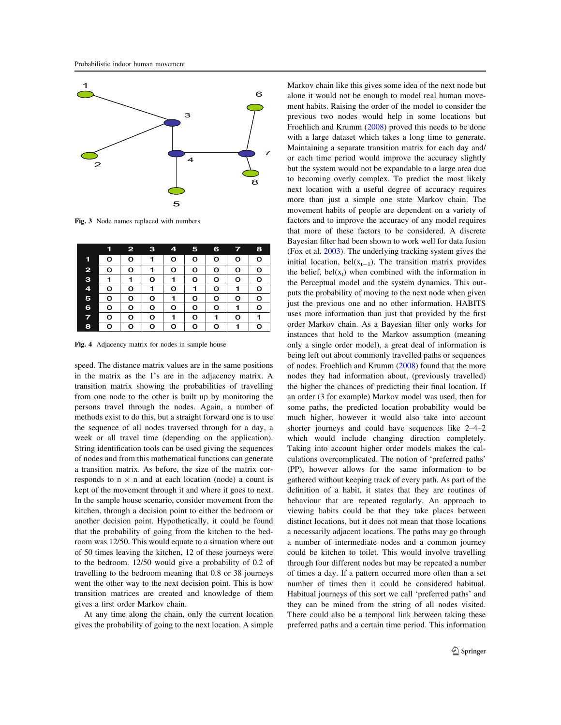

Fig. 3 Node names replaced with numbers

|                         | 1            | 2 | з | 4 | 5 | 6            | 7 | 8            |
|-------------------------|--------------|---|---|---|---|--------------|---|--------------|
| 1                       | O            | O | 1 | O | O | $\mathbf{o}$ | O | O            |
| $\overline{\mathbf{2}}$ | O            | O | 1 | O | O | $\mathbf{o}$ | O | $\mathbf{o}$ |
| 3                       | 1            | 1 | O | 1 | O | $\mathbf{o}$ | O | $\mathbf{o}$ |
| $\overline{\mathbf{4}}$ | $\mathbf{o}$ | O | 1 | O | 1 | $\mathbf{o}$ | 1 | $\mathbf{o}$ |
| 5                       | O            | O | O | 1 | O | $\mathbf{o}$ | O | O            |
| 6                       | O            | O | O | O | O | $\mathbf{o}$ | 1 | O            |
| 7                       | O            | O | O | 1 | O | 1            | O | 1            |
| 8                       | O            | o | O | O | O | O            | 1 | O            |

Fig. 4 Adjacency matrix for nodes in sample house

speed. The distance matrix values are in the same positions in the matrix as the 1's are in the adjacency matrix. A transition matrix showing the probabilities of travelling from one node to the other is built up by monitoring the persons travel through the nodes. Again, a number of methods exist to do this, but a straight forward one is to use the sequence of all nodes traversed through for a day, a week or all travel time (depending on the application). String identification tools can be used giving the sequences of nodes and from this mathematical functions can generate a transition matrix. As before, the size of the matrix corresponds to  $n \times n$  and at each location (node) a count is kept of the movement through it and where it goes to next. In the sample house scenario, consider movement from the kitchen, through a decision point to either the bedroom or another decision point. Hypothetically, it could be found that the probability of going from the kitchen to the bedroom was 12/50. This would equate to a situation where out of 50 times leaving the kitchen, 12 of these journeys were to the bedroom. 12/50 would give a probability of 0.2 of travelling to the bedroom meaning that 0.8 or 38 journeys went the other way to the next decision point. This is how transition matrices are created and knowledge of them gives a first order Markov chain.

At any time along the chain, only the current location gives the probability of going to the next location. A simple

Markov chain like this gives some idea of the next node but alone it would not be enough to model real human movement habits. Raising the order of the model to consider the previous two nodes would help in some locations but Froehlich and Krumm (2008) proved this needs to be done with a large dataset which takes a long time to generate. Maintaining a separate transition matrix for each day and/ or each time period would improve the accuracy slightly but the system would not be expandable to a large area due to becoming overly complex. To predict the most likely next location with a useful degree of accuracy requires more than just a simple one state Markov chain. The movement habits of people are dependent on a variety of factors and to improve the accuracy of any model requires that more of these factors to be considered. A discrete Bayesian filter had been shown to work well for data fusion (Fox et al. 2003). The underlying tracking system gives the initial location, bel $(x_{t-1})$ . The transition matrix provides the belief,  $bel(x_t)$  when combined with the information in the Perceptual model and the system dynamics. This outputs the probability of moving to the next node when given just the previous one and no other information. HABITS uses more information than just that provided by the first order Markov chain. As a Bayesian filter only works for instances that hold to the Markov assumption (meaning only a single order model), a great deal of information is being left out about commonly travelled paths or sequences of nodes. Froehlich and Krumm (2008) found that the more nodes they had information about, (previously travelled) the higher the chances of predicting their final location. If an order (3 for example) Markov model was used, then for some paths, the predicted location probability would be much higher, however it would also take into account shorter journeys and could have sequences like 2–4–2 which would include changing direction completely. Taking into account higher order models makes the calculations overcomplicated. The notion of 'preferred paths' (PP), however allows for the same information to be gathered without keeping track of every path. As part of the definition of a habit, it states that they are routines of behaviour that are repeated regularly. An approach to viewing habits could be that they take places between distinct locations, but it does not mean that those locations a necessarily adjacent locations. The paths may go through a number of intermediate nodes and a common journey could be kitchen to toilet. This would involve travelling through four different nodes but may be repeated a number of times a day. If a pattern occurred more often than a set number of times then it could be considered habitual. Habitual journeys of this sort we call 'preferred paths' and they can be mined from the string of all nodes visited. There could also be a temporal link between taking these preferred paths and a certain time period. This information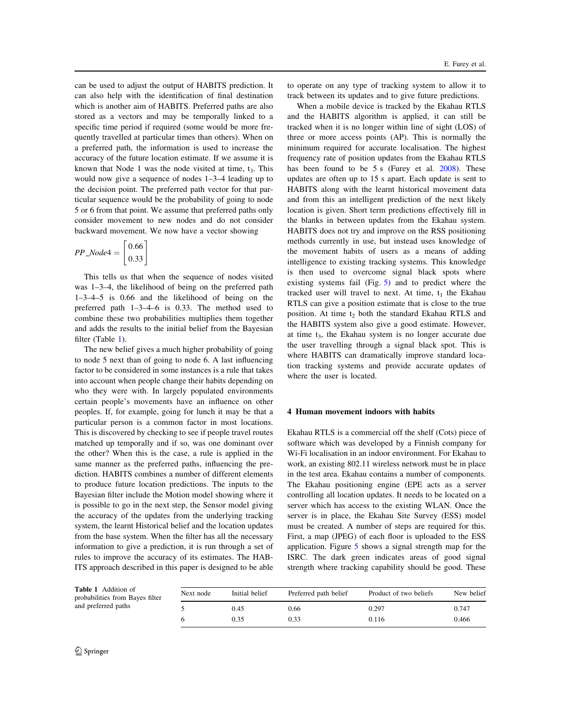can be used to adjust the output of HABITS prediction. It can also help with the identification of final destination which is another aim of HABITS. Preferred paths are also stored as a vectors and may be temporally linked to a specific time period if required (some would be more frequently travelled at particular times than others). When on a preferred path, the information is used to increase the accuracy of the future location estimate. If we assume it is known that Node 1 was the node visited at time,  $t_3$ . This would now give a sequence of nodes 1–3–4 leading up to the decision point. The preferred path vector for that particular sequence would be the probability of going to node 5 or 6 from that point. We assume that preferred paths only consider movement to new nodes and do not consider backward movement. We now have a vector showing

$$
PP\_Node4 = \begin{bmatrix} 0.66\\0.33 \end{bmatrix}
$$

This tells us that when the sequence of nodes visited was 1–3–4, the likelihood of being on the preferred path 1–3–4–5 is 0.66 and the likelihood of being on the preferred path 1–3–4–6 is 0.33. The method used to combine these two probabilities multiplies them together and adds the results to the initial belief from the Bayesian filter (Table 1).

The new belief gives a much higher probability of going to node 5 next than of going to node 6. A last influencing factor to be considered in some instances is a rule that takes into account when people change their habits depending on who they were with. In largely populated environments certain people's movements have an influence on other peoples. If, for example, going for lunch it may be that a particular person is a common factor in most locations. This is discovered by checking to see if people travel routes matched up temporally and if so, was one dominant over the other? When this is the case, a rule is applied in the same manner as the preferred paths, influencing the prediction. HABITS combines a number of different elements to produce future location predictions. The inputs to the Bayesian filter include the Motion model showing where it is possible to go in the next step, the Sensor model giving the accuracy of the updates from the underlying tracking system, the learnt Historical belief and the location updates from the base system. When the filter has all the necessary information to give a prediction, it is run through a set of rules to improve the accuracy of its estimates. The HAB-ITS approach described in this paper is designed to be able

to operate on any type of tracking system to allow it to track between its updates and to give future predictions.

When a mobile device is tracked by the Ekahau RTLS and the HABITS algorithm is applied, it can still be tracked when it is no longer within line of sight (LOS) of three or more access points (AP). This is normally the minimum required for accurate localisation. The highest frequency rate of position updates from the Ekahau RTLS has been found to be 5 s (Furey et al. 2008). These updates are often up to 15 s apart. Each update is sent to HABITS along with the learnt historical movement data and from this an intelligent prediction of the next likely location is given. Short term predictions effectively fill in the blanks in between updates from the Ekahau system. HABITS does not try and improve on the RSS positioning methods currently in use, but instead uses knowledge of the movement habits of users as a means of adding intelligence to existing tracking systems. This knowledge is then used to overcome signal black spots where existing systems fail (Fig. 5) and to predict where the tracked user will travel to next. At time,  $t_1$  the Ekahau RTLS can give a position estimate that is close to the true position. At time  $t_2$  both the standard Ekahau RTLS and the HABITS system also give a good estimate. However, at time t3, the Ekahau system is no longer accurate due the user travelling through a signal black spot. This is where HABITS can dramatically improve standard location tracking systems and provide accurate updates of where the user is located.

# 4 Human movement indoors with habits

Ekahau RTLS is a commercial off the shelf (Cots) piece of software which was developed by a Finnish company for Wi-Fi localisation in an indoor environment. For Ekahau to work, an existing 802.11 wireless network must be in place in the test area. Ekahau contains a number of components. The Ekahau positioning engine (EPE acts as a server controlling all location updates. It needs to be located on a server which has access to the existing WLAN. Once the server is in place, the Ekahau Site Survey (ESS) model must be created. A number of steps are required for this. First, a map (JPEG) of each floor is uploaded to the ESS application. Figure 5 shows a signal strength map for the ISRC. The dark green indicates areas of good signal strength where tracking capability should be good. These

| <b>Table 1</b> Addition of<br>probabilities from Bayes filter | Next node | Initial belief | Preferred path belief | Product of two beliefs | New belief |
|---------------------------------------------------------------|-----------|----------------|-----------------------|------------------------|------------|
| and preferred paths                                           |           | 0.45           | 0.66                  | 0.297                  | 0.747      |
|                                                               |           | 1.35           | 0.33                  | 0.116                  | 0.466      |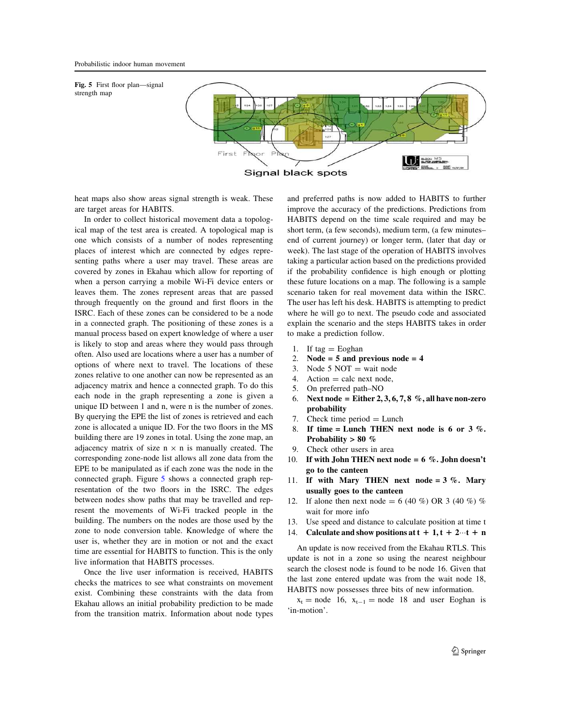

heat maps also show areas signal strength is weak. These are target areas for HABITS.

In order to collect historical movement data a topological map of the test area is created. A topological map is one which consists of a number of nodes representing places of interest which are connected by edges representing paths where a user may travel. These areas are covered by zones in Ekahau which allow for reporting of when a person carrying a mobile Wi-Fi device enters or leaves them. The zones represent areas that are passed through frequently on the ground and first floors in the ISRC. Each of these zones can be considered to be a node in a connected graph. The positioning of these zones is a manual process based on expert knowledge of where a user is likely to stop and areas where they would pass through often. Also used are locations where a user has a number of options of where next to travel. The locations of these zones relative to one another can now be represented as an adjacency matrix and hence a connected graph. To do this each node in the graph representing a zone is given a unique ID between 1 and n, were n is the number of zones. By querying the EPE the list of zones is retrieved and each zone is allocated a unique ID. For the two floors in the MS building there are 19 zones in total. Using the zone map, an adjacency matrix of size  $n \times n$  is manually created. The corresponding zone-node list allows all zone data from the EPE to be manipulated as if each zone was the node in the connected graph. Figure 5 shows a connected graph representation of the two floors in the ISRC. The edges between nodes show paths that may be travelled and represent the movements of Wi-Fi tracked people in the building. The numbers on the nodes are those used by the zone to node conversion table. Knowledge of where the user is, whether they are in motion or not and the exact time are essential for HABITS to function. This is the only live information that HABITS processes.

Once the live user information is received, HABITS checks the matrices to see what constraints on movement exist. Combining these constraints with the data from Ekahau allows an initial probability prediction to be made from the transition matrix. Information about node types

and preferred paths is now added to HABITS to further improve the accuracy of the predictions. Predictions from HABITS depend on the time scale required and may be short term, (a few seconds), medium term, (a few minutes– end of current journey) or longer term, (later that day or week). The last stage of the operation of HABITS involves taking a particular action based on the predictions provided if the probability confidence is high enough or plotting these future locations on a map. The following is a sample scenario taken for real movement data within the ISRC. The user has left his desk. HABITS is attempting to predict where he will go to next. The pseudo code and associated explain the scenario and the steps HABITS takes in order to make a prediction follow.

- 1. If tag  $=$  Eoghan
- 2. Node =  $5$  and previous node =  $4$
- 3. Node  $5 NOT = wait node$
- 4. Action  $=$  calc next node,
- 5. On preferred path–NO
- 6. Next node = Either 2, 3, 6, 7, 8 %, all have non-zero probability
- 7. Check time period  $=$  Lunch
- 8. If time = Lunch THEN next node is 6 or 3 %. Probability > 80 %
- 9. Check other users in area
- 10. If with John THEN next node =  $6\%$ . John doesn't go to the canteen
- 11. If with Mary THEN next node =  $3\%$ . Mary usually goes to the canteen
- 12. If alone then next node = 6 (40 %) OR 3 (40 %) % wait for more info
- 13. Use speed and distance to calculate position at time t
- 14. Calculate and show positions at  $t + 1$ ,  $t + 2 \cdot t + n$

An update is now received from the Ekahau RTLS. This update is not in a zone so using the nearest neighbour search the closest node is found to be node 16. Given that the last zone entered update was from the wait node 18, HABITS now possesses three bits of new information.

 $x_t$  = node 16,  $x_{t-1}$  = node 18 and user Eoghan is 'in-motion'.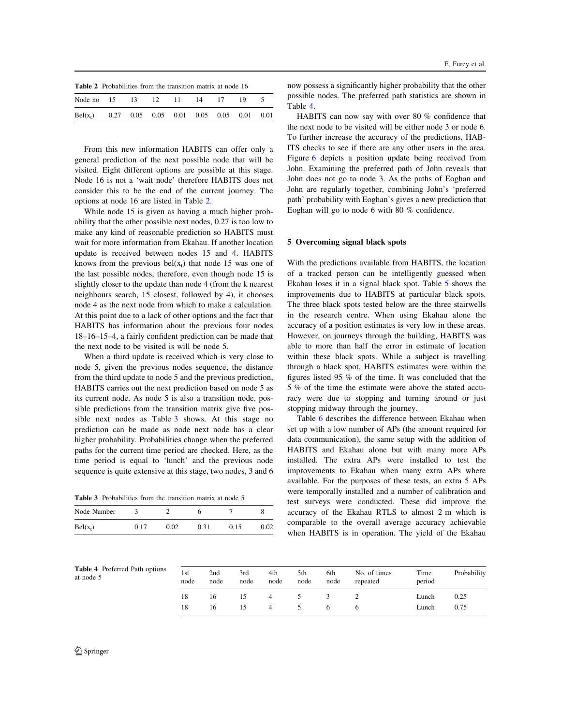| <b>Table 2</b> Probabilities from the transition matrix at node 16 |  |                                         |  |  |  |  |     |  |  |
|--------------------------------------------------------------------|--|-----------------------------------------|--|--|--|--|-----|--|--|
| Node no 15 13 12 11 14 17                                          |  |                                         |  |  |  |  | -19 |  |  |
| Bel(x <sub>t</sub> )                                               |  | 0.27 0.05 0.05 0.01 0.05 0.05 0.01 0.01 |  |  |  |  |     |  |  |

From this new information HABITS can offer only a general prediction of the next possible node that will be visited. Eight different options are possible at this stage. Node 16 is not a 'wait node' therefore HABITS does not consider this to be the end of the current journey. The options at node 16 are listed in Table 2.

While node 15 is given as having a much higher probability that the other possible next nodes, 0.27 is too low to make any kind of reasonable prediction so HABITS must wait for more information from Ekahau. If another location update is received between nodes 15 and 4. HABITS knows from the previous  $bel(x_t)$  that node 15 was one of the last possible nodes, therefore, even though node 15 is slightly closer to the update than node 4 (from the k nearest neighbours search, 15 closest, followed by 4), it chooses node 4 as the next node from which to make a calculation. At this point due to a lack of other options and the fact that HABITS has information about the previous four nodes 18–16–15–4, a fairly confident prediction can be made that the next node to be visited is will be node 5.

When a third update is received which is very close to node 5, given the previous nodes sequence, the distance from the third update to node 5 and the previous prediction, HABITS carries out the next prediction based on node 5 as its current node. As node 5 is also a transition node, possible predictions from the transition matrix give five possible next nodes as Table 3 shows. At this stage no prediction can be made as node next node has a clear higher probability. Probabilities change when the preferred paths for the current time period are checked. Here, as the time period is equal to 'lunch' and the previous node sequence is quite extensive at this stage, two nodes, 3 and 6

Table 3 Probabilities from the transition matrix at node 5

| Node Number |      |      |      |      |      |
|-------------|------|------|------|------|------|
| $Bel(x_t)$  | 0.17 | 0.02 | 0.31 | 0.15 | 0.02 |

now possess a significantly higher probability that the other possible nodes. The preferred path statistics are shown in Table 4.

HABITS can now say with over 80 % confidence that the next node to be visited will be either node 3 or node 6. To further increase the accuracy of the predictions, HAB-ITS checks to see if there are any other users in the area. Figure 6 depicts a position update being received from John. Examining the preferred path of John reveals that John does not go to node 3. As the paths of Eoghan and John are regularly together, combining John's 'preferred path' probability with Eoghan's gives a new prediction that Eoghan will go to node 6 with 80 % confidence.

#### 5 Overcoming signal black spots

With the predictions available from HABITS, the location of a tracked person can be intelligently guessed when Ekahau loses it in a signal black spot. Table 5 shows the improvements due to HABITS at particular black spots. The three black spots tested below are the three stairwells in the research centre. When using Ekahau alone the accuracy of a position estimates is very low in these areas. However, on journeys through the building, HABITS was able to more than half the error in estimate of location within these black spots. While a subject is travelling through a black spot, HABITS estimates were within the figures listed 95 % of the time. It was concluded that the 5 % of the time the estimate were above the stated accuracy were due to stopping and turning around or just stopping midway through the journey.

Table 6 describes the difference between Ekahau when set up with a low number of APs (the amount required for data communication), the same setup with the addition of HABITS and Ekahau alone but with many more APs installed. The extra APs were installed to test the improvements to Ekahau when many extra APs where available. For the purposes of these tests, an extra 5 APs were temporally installed and a number of calibration and test surveys were conducted. These did improve the accuracy of the Ekahau RTLS to almost 2 m which is comparable to the overall average accuracy achievable when HABITS is in operation. The yield of the Ekahau

| <b>Table 4</b> Preferred Path options | 1st |
|---------------------------------------|-----|
| at node 5                             |     |

| ns. | 1st<br>node | 2nd<br>node | 3rd<br>node | 4th<br>node | 5th<br>node | 6th<br>node | No. of times<br>repeated | Time<br>period | Probability |
|-----|-------------|-------------|-------------|-------------|-------------|-------------|--------------------------|----------------|-------------|
|     | 18          | 16          |             | 4           |             |             |                          | Lunch          | 0.25        |
|     | 18          | 16          |             | 4           |             |             |                          | Lunch          | 0.75        |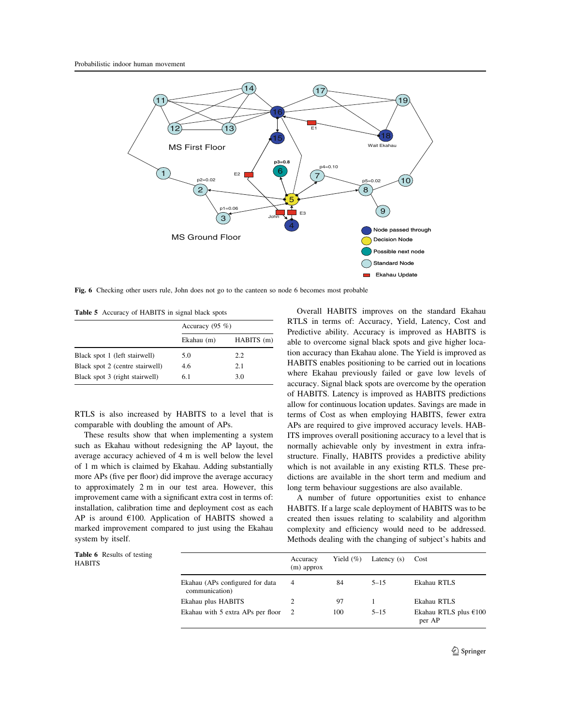

Fig. 6 Checking other users rule, John does not go to the canteen so node 6 becomes most probable

Table 5 Accuracy of HABITS in signal black spots

|                                 | Accuracy $(95 \%)$ |              |  |  |
|---------------------------------|--------------------|--------------|--|--|
|                                 | Ekahau (m)         | $HABITS$ (m) |  |  |
| Black spot 1 (left stairwell)   | 5.0                | 2.2          |  |  |
| Black spot 2 (centre stairwell) | 4.6                | 2.1          |  |  |
| Black spot 3 (right stairwell)  | 6.1                | 3.0          |  |  |

RTLS is also increased by HABITS to a level that is comparable with doubling the amount of APs.

These results show that when implementing a system such as Ekahau without redesigning the AP layout, the average accuracy achieved of 4 m is well below the level of 1 m which is claimed by Ekahau. Adding substantially more APs (five per floor) did improve the average accuracy to approximately 2 m in our test area. However, this improvement came with a significant extra cost in terms of: installation, calibration time and deployment cost as each AP is around €100. Application of HABITS showed a marked improvement compared to just using the Ekahau system by itself.

Overall HABITS improves on the standard Ekahau RTLS in terms of: Accuracy, Yield, Latency, Cost and Predictive ability. Accuracy is improved as HABITS is able to overcome signal black spots and give higher location accuracy than Ekahau alone. The Yield is improved as HABITS enables positioning to be carried out in locations where Ekahau previously failed or gave low levels of accuracy. Signal black spots are overcome by the operation of HABITS. Latency is improved as HABITS predictions allow for continuous location updates. Savings are made in terms of Cost as when employing HABITS, fewer extra APs are required to give improved accuracy levels. HAB-ITS improves overall positioning accuracy to a level that is normally achievable only by investment in extra infrastructure. Finally, HABITS provides a predictive ability which is not available in any existing RTLS. These predictions are available in the short term and medium and long term behaviour suggestions are also available.

A number of future opportunities exist to enhance HABITS. If a large scale deployment of HABITS was to be created then issues relating to scalability and algorithm complexity and efficiency would need to be addressed. Methods dealing with the changing of subject's habits and

| <b>Table 6</b> Results of testing<br>HABITS |                                                    | Accuracy<br>$(m)$ approx | Yield $(\%)$ | Latency (s) | Cost                              |  |
|---------------------------------------------|----------------------------------------------------|--------------------------|--------------|-------------|-----------------------------------|--|
|                                             | Ekahau (APs configured for data)<br>communication) | $\overline{4}$           | 84           | $5 - 15$    | Ekahau RTLS                       |  |
|                                             | Ekahau plus HABITS                                 |                          | 97           |             | Ekahau RTLS                       |  |
|                                             | Ekahau with 5 extra APs per floor                  | -2                       | 100          | $5 - 15$    | Ekahau RTLS plus $€100$<br>per AP |  |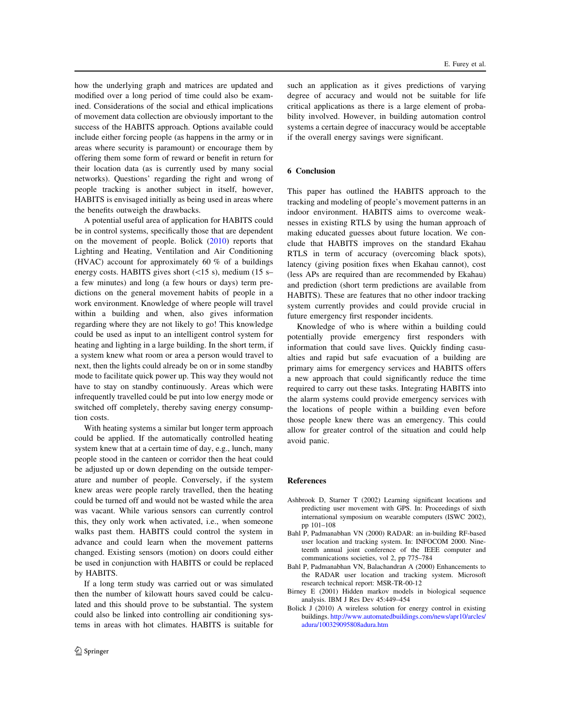how the underlying graph and matrices are updated and modified over a long period of time could also be examined. Considerations of the social and ethical implications of movement data collection are obviously important to the success of the HABITS approach. Options available could include either forcing people (as happens in the army or in areas where security is paramount) or encourage them by offering them some form of reward or benefit in return for their location data (as is currently used by many social networks). Questions' regarding the right and wrong of people tracking is another subject in itself, however, HABITS is envisaged initially as being used in areas where the benefits outweigh the drawbacks.

A potential useful area of application for HABITS could be in control systems, specifically those that are dependent on the movement of people. Bolick (2010) reports that Lighting and Heating, Ventilation and Air Conditioning (HVAC) account for approximately 60 % of a buildings energy costs. HABITS gives short  $(<15$  s), medium (15 s– a few minutes) and long (a few hours or days) term predictions on the general movement habits of people in a work environment. Knowledge of where people will travel within a building and when, also gives information regarding where they are not likely to go! This knowledge could be used as input to an intelligent control system for heating and lighting in a large building. In the short term, if a system knew what room or area a person would travel to next, then the lights could already be on or in some standby mode to facilitate quick power up. This way they would not have to stay on standby continuously. Areas which were infrequently travelled could be put into low energy mode or switched off completely, thereby saving energy consumption costs.

With heating systems a similar but longer term approach could be applied. If the automatically controlled heating system knew that at a certain time of day, e.g., lunch, many people stood in the canteen or corridor then the heat could be adjusted up or down depending on the outside temperature and number of people. Conversely, if the system knew areas were people rarely travelled, then the heating could be turned off and would not be wasted while the area was vacant. While various sensors can currently control this, they only work when activated, i.e., when someone walks past them. HABITS could control the system in advance and could learn when the movement patterns changed. Existing sensors (motion) on doors could either be used in conjunction with HABITS or could be replaced by HABITS.

If a long term study was carried out or was simulated then the number of kilowatt hours saved could be calculated and this should prove to be substantial. The system could also be linked into controlling air conditioning systems in areas with hot climates. HABITS is suitable for

such an application as it gives predictions of varying degree of accuracy and would not be suitable for life critical applications as there is a large element of probability involved. However, in building automation control systems a certain degree of inaccuracy would be acceptable if the overall energy savings were significant.

#### 6 Conclusion

This paper has outlined the HABITS approach to the tracking and modeling of people's movement patterns in an indoor environment. HABITS aims to overcome weaknesses in existing RTLS by using the human approach of making educated guesses about future location. We conclude that HABITS improves on the standard Ekahau RTLS in term of accuracy (overcoming black spots), latency (giving position fixes when Ekahau cannot), cost (less APs are required than are recommended by Ekahau) and prediction (short term predictions are available from HABITS). These are features that no other indoor tracking system currently provides and could provide crucial in future emergency first responder incidents.

Knowledge of who is where within a building could potentially provide emergency first responders with information that could save lives. Quickly finding casualties and rapid but safe evacuation of a building are primary aims for emergency services and HABITS offers a new approach that could significantly reduce the time required to carry out these tasks. Integrating HABITS into the alarm systems could provide emergency services with the locations of people within a building even before those people knew there was an emergency. This could allow for greater control of the situation and could help avoid panic.

#### References

- Ashbrook D, Starner T (2002) Learning significant locations and predicting user movement with GPS. In: Proceedings of sixth international symposium on wearable computers (ISWC 2002), pp 101–108
- Bahl P, Padmanabhan VN (2000) RADAR: an in-building RF-based user location and tracking system. In: INFOCOM 2000. Nineteenth annual joint conference of the IEEE computer and communications societies, vol 2, pp 775–784
- Bahl P, Padmanabhan VN, Balachandran A (2000) Enhancements to the RADAR user location and tracking system. Microsoft research technical report: MSR-TR-00-12
- Birney E (2001) Hidden markov models in biological sequence analysis. IBM J Res Dev 45:449–454
- Bolick J (2010) A wireless solution for energy control in existing buildings. http://www.automatedbuildings.com/news/apr10/arcles/ adura/100329095808adura.htm